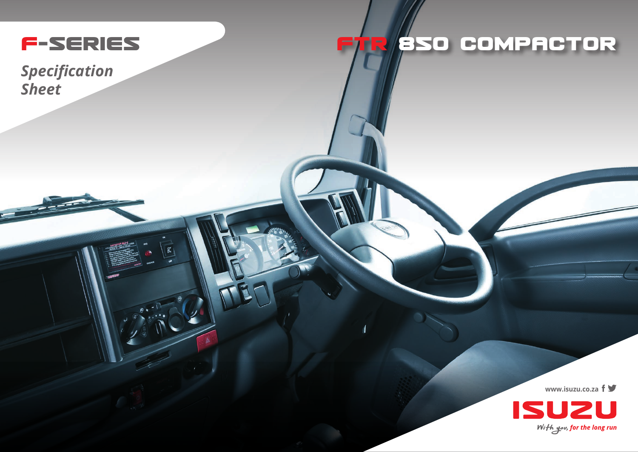

 $\vert \mathfrak{F} \vert$ 

## R**/BSO COMPACTOR**

*Specification Sheet*

**www.isuzu.co.za**